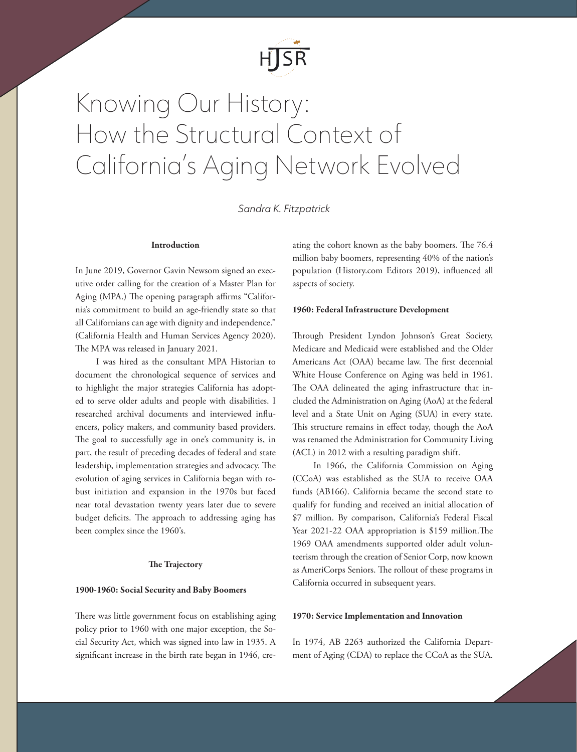

# Knowing Our History: How the Structural Context of California's Aging Network Evolved

*Sandra K. Fitzpatrick*

## Introduction

In June 2019, Governor Gavin Newsom signed an [exec](about:blank)[utive order](about:blank) calling for the creation of a Master Plan for Aging (MPA.) The opening paragraph affirms "California's commitment to build an age-friendly state so that all Californians can age with dignity and independence." (California Health and Human Services Agency 2020). The MPA was released in January 2021.

I was hired as the consultant MPA Historian to document the chronological sequence of services and to highlight the major strategies California has adopted to serve older adults and people with disabilities. I researched archival documents and interviewed influencers, policy makers, and community based providers. The goal to successfully age in one's community is, in part, the result of preceding decades of federal and state leadership, implementation strategies and advocacy. The evolution of aging services in California began with robust initiation and expansion in the 1970s but faced near total devastation twenty years later due to severe budget deficits. The approach to addressing aging has been complex since the 1960's.

#### The Trajectory

#### 1900-1960: Social Security and Baby Boomers

There was little government focus on establishing aging policy prior to 1960 with one major exception, the Social Security Act, which was signed into law in 1935. A significant increase in the birth rate began in 1946, creating the cohort known as the baby boomers. The 76.4 million baby boomers, representing 40% of the nation's population (History.com Editors 2019), influenced all aspects of society.

#### 1960: Federal Infrastructure Development

Through President Lyndon Johnson's Great Society, Medicare and Medicaid were established and the Older Americans Act (OAA) became law. The first decennial White House Conference on Aging was held in 1961. The OAA delineated the aging infrastructure that included the Administration on Aging (AoA) at the federal level and a State Unit on Aging (SUA) in every state. This structure remains in effect today, though the AoA was renamed the [Administration for Community Living](about:blank) (ACL) in 2012 with a resulting paradigm shift.

In 1966, the [California Commission on Aging](about:blank) (CCoA) was established as the SUA to receive OAA funds (AB166). California became the second state to qualify for funding and received an initial allocation of \$7 million. By comparison, California's Federal Fiscal Year 2021-22 OAA appropriation is \$159 million.The 1969 OAA amendments supported older adult volunteerism through the creation of Senior Corp, now known as [AmeriCorps Seniors](about:blank). The rollout of these programs in California occurred in subsequent years.

#### 1970: Service Implementation and Innovation

In 1974, AB 2263 authorized the [California Depart](about:blank)[ment of Aging](about:blank) (CDA) to replace the CCoA as the SUA.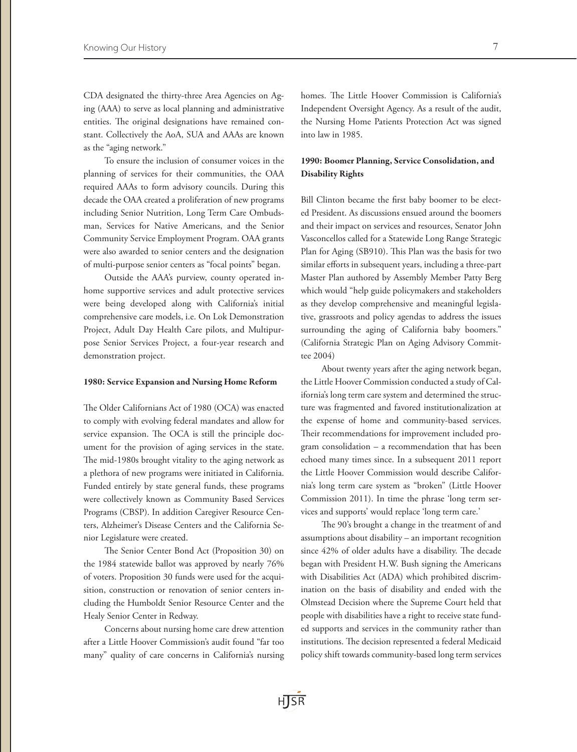CDA designated the thirty-three Area Agencies on Aging (AAA) to serve as local planning and administrative entities. The original designations have remained constant. Collectively the AoA, SUA and AAAs are known as the "aging network."

To ensure the inclusion of consumer voices in the planning of services for their communities, the OAA required AAAs to form advisory councils. During this decade the OAA created a proliferation of new programs including Senior Nutrition, Long Term Care Ombudsman, Services for Native Americans, and the Senior Community Service Employment Program. OAA grants were also awarded to senior centers and the designation of multi-purpose senior centers as "focal points" began.

Outside the AAA's purview, county operated inhome supportive services and adult protective services were being developed along with California's initial comprehensive care models, i.e. On Lok Demonstration Project, Adult Day Health Care pilots, and Multipurpose Senior Services Project, a four-year research and demonstration project.

#### 1980: Service Expansion and Nursing Home Reform

The [Older Californians Act of 1980](about:blank) (OCA) was enacted to comply with evolving federal mandates and allow for service expansion. The OCA is still the principle document for the provision of aging services in the state. The mid-1980s brought vitality to the aging network as a plethora of new programs were initiated in California. Funded entirely by state general funds, these programs were collectively known as Community Based Services Programs (CBSP). In addition Caregiver Resource Centers, Alzheimer's Disease Centers and the California Senior Legislature were created.

The Senior Center Bond Act (Proposition 30) on the 1984 statewide ballot was approved by nearly 76% of voters. Proposition 30 funds were used for the acquisition, construction or renovation of senior centers including the Humboldt Senior Resource Center and the Healy Senior Center in Redway.

Concerns about nursing home care drew attention after a Little Hoover Commission's audit found "far too many" quality of care concerns in California's nursing homes. The Little Hoover Commission is California's Independent Oversight Agency. As a result of the audit, the Nursing Home Patients Protection Act was signed into law in 1985.

# 1990: Boomer Planning, Service Consolidation, and Disability Rights

Bill Clinton became the first baby boomer to be elected President. As discussions ensued around the boomers and their impact on services and resources, Senator John Vasconcellos called for a Statewide Long Range Strategic Plan for Aging (SB910). This Plan was the basis for two similar efforts in subsequent years, including a three-part Master Plan authored by Assembly Member Patty Berg which would "help guide policymakers and stakeholders as they develop comprehensive and meaningful legislative, grassroots and policy agendas to address the issues surrounding the aging of California baby boomers." (California Strategic Plan on Aging Advisory Committee 2004)

About twenty years after the aging network began, the Little Hoover Commission conducted a study of California's long term care system and determined the structure was fragmented and favored institutionalization at the expense of home and community-based services. Their recommendations for improvement included program consolidation – a recommendation that has been echoed many times since. In a subsequent 2011 report the Little Hoover Commission would describe California's long term care system as "broken" (Little Hoover Commission 2011). In time the phrase 'long term services and supports' would replace 'long term care.'

The 90's brought a change in the treatment of and assumptions about disability – an important recognition since 42% of older adults have a disability. The decade began with President H.W. Bush signing the Americans with Disabilities Act (ADA) which prohibited discrimination on the basis of disability and ended with the Olmstead Decision where the Supreme Court held that people with disabilities have a right to receive state funded supports and services in the community rather than institutions. The decision represented a federal Medicaid policy shift towards community-based long term services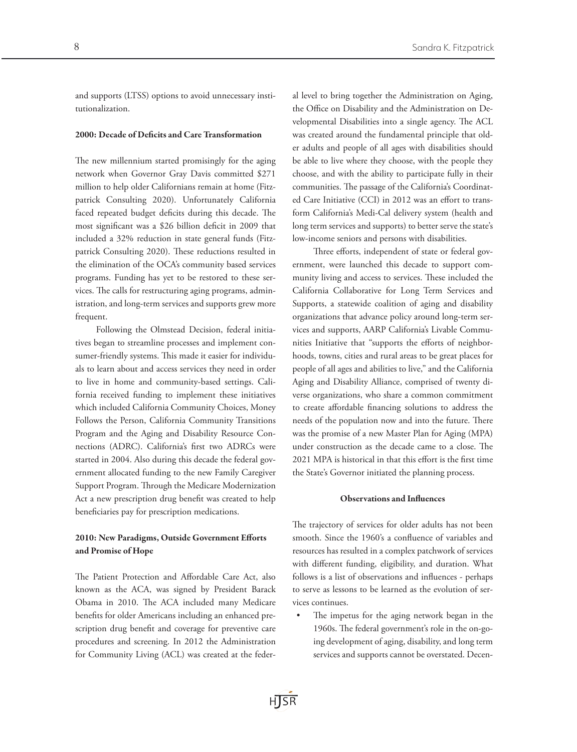and supports (LTSS) options to avoid unnecessary institutionalization.

### 2000: Decade of Deficits and Care Transformation

The new millennium started promisingly for the aging network when Governor Gray Davis committed \$271 million to help older Californians remain at home (Fitzpatrick Consulting 2020). Unfortunately California faced repeated budget deficits during this decade. The most significant was a \$26 billion deficit in 2009 that included a 32% reduction in state general funds (Fitzpatrick Consulting 2020). These reductions resulted in the elimination of the OCA's community based services programs. Funding has yet to be restored to these services. The calls for restructuring aging programs, administration, and long-term services and supports grew more frequent.

Following the Olmstead Decision, federal initiatives began to streamline processes and implement consumer-friendly systems. This made it easier for individuals to learn about and access services they need in order to live in home and community-based settings. California received funding to implement these initiatives which included California Community Choices, Money Follows the Person, California Community Transitions Program and the Aging and Disability Resource Connections (ADRC). California's first two ADRCs were started in 2004. Also during this decade the federal government allocated funding to the new Family Caregiver Support Program. Through the Medicare Modernization Act a new prescription drug benefit was created to help beneficiaries pay for prescription medications.

# 2010: New Paradigms, Outside Government Efforts and Promise of Hope

The Patient Protection and Affordable Care Act, also known as the ACA, was signed by President Barack Obama in 2010. The ACA included many Medicare benefits for older Americans including an enhanced prescription drug benefit and coverage for preventive care procedures and screening. In 2012 the Administration for Community Living (ACL) was created at the federal level to bring together the Administration on Aging, the Office on Disability and the Administration on Developmental Disabilities into a single agency. The ACL was created around the fundamental principle that older adults and people of all ages with disabilities should be able to live where they choose, with the people they choose, and with the ability to participate fully in their communities. The passage of the California's Coordinated Care Initiative (CCI) in 2012 was an effort to transform California's Medi-Cal delivery system (health and long term services and supports) to better serve the state's low-income seniors and persons with disabilities.

Three efforts, independent of state or federal government, were launched this decade to support community living and access to services. These included the California Collaborative for Long Term Services and Supports, a statewide coalition of aging and disability organizations that advance policy around long-term services and supports, AARP California's Livable Communities Initiative that "supports the efforts of neighborhoods, towns, cities and rural areas to be great places for people of all ages and abilities to live," and the California Aging and Disability Alliance, comprised of twenty diverse organizations, who share a common commitment to create affordable financing solutions to address the needs of the population now and into the future. There was the promise of a new Master Plan for Aging (MPA) under construction as the decade came to a close. The 2021 MPA is historical in that this effort is the first time the State's Governor initiated the planning process.

#### Observations and Influences

The trajectory of services for older adults has not been smooth. Since the 1960's a confluence of variables and resources has resulted in a complex patchwork of services with different funding, eligibility, and duration. What follows is a list of observations and influences - perhaps to serve as lessons to be learned as the evolution of services continues.

The impetus for the aging network began in the 1960s. The federal government's role in the on-going development of aging, disability, and long term services and supports cannot be overstated. Decen